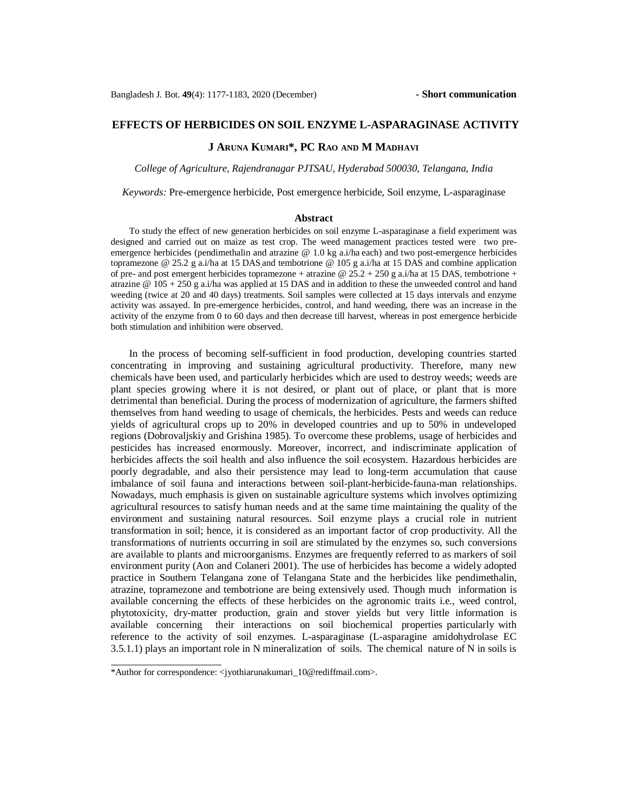# **EFFECTS OF HERBICIDES ON SOIL ENZYME L-ASPARAGINASE ACTIVITY**

## **J ARUNA KUMARI\*, PC RAO AND M MADHAVI**

*College of Agriculture, Rajendranagar PJTSAU, Hyderabad 500030, Telangana, India*

*Keywords:* Pre-emergence herbicide, Post emergence herbicide, Soil enzyme, L-asparaginase

#### **Abstract**

To study the effect of new generation herbicides on soil enzyme L-asparaginase a field experiment was designed and carried out on maize as test crop. The weed management practices tested were two preemergence herbicides (pendimethalin and atrazine @ 1.0 kg a.i/ha each) and two post-emergence herbicides topramezone  $\omega$  25.2 g a.i/ha at 15 DAS and tembotrione  $\omega$  105 g a.i/ha at 15 DAS and combine application of pre- and post emergent herbicides topramezone + atrazine  $@$  25.2 + 250 g a.i/ha at 15 DAS, tembotrione + atrazine  $\omega$  105 + 250 g a.i/ha was applied at 15 DAS and in addition to these the unweeded control and hand weeding (twice at 20 and 40 days) treatments. Soil samples were collected at 15 days intervals and enzyme activity was assayed. In pre-emergence herbicides, control, and hand weeding, there was an increase in the activity of the enzyme from 0 to 60 days and then decrease till harvest, whereas in post emergence herbicide both stimulation and inhibition were observed.

In the process of becoming self-sufficient in food production, developing countries started concentrating in improving and sustaining agricultural productivity. Therefore, many new chemicals have been used, and particularly herbicides which are used to destroy weeds; weeds are plant species growing where it is not desired, or plant out of place, or plant that is more detrimental than beneficial. During the process of modernization of agriculture, the farmers shifted themselves from hand weeding to usage of chemicals, the herbicides. Pests and weeds can reduce yields of agricultural crops up to 20% in developed countries and up to 50% in undeveloped regions (Dobrovaljskiy and Grishina 1985). To overcome these problems, usage of herbicides and pesticides has increased enormously. Moreover, incorrect, and indiscriminate application of herbicides affects the soil health and also influence the soil ecosystem. Hazardous herbicides are poorly degradable, and also their persistence may lead to long-term accumulation that cause imbalance of soil fauna and interactions between soil-plant-herbicide-fauna-man relationships. Nowadays, much emphasis is given on sustainable agriculture systems which involves optimizing agricultural resources to satisfy human needs and at the same time maintaining the quality of the environment and sustaining natural resources. Soil enzyme plays a crucial role in nutrient transformation in soil; hence, it is considered as an important factor of crop productivity. All the transformations of nutrients occurring in soil are stimulated by the enzymes so, such conversions are available to plants and microorganisms. Enzymes are frequently referred to as markers of soil environment purity (Aon and Colaneri 2001). The use of herbicides has become a widely adopted practice in Southern Telangana zone of Telangana State and the herbicides like pendimethalin, atrazine, topramezone and tembotrione are being extensively used. Though much information is available concerning the effects of these herbicides on the agronomic traits i.e., weed control, phytotoxicity, dry-matter production, grain and stover yields but very little information is available concerning their interactions on soil biochemical properties particularly with reference to the activity of soil enzymes. L-asparaginase (L-asparagine amidohydrolase EC 3.5.1.1) plays an important role in N mineralization of soils. The chemical nature of N in soils is

<sup>\*</sup>Author for correspondence: [<jyothiarunakumari\\_10@rediffmail.com>](mailto:jyothiarunakumari_10@rediffmail.com).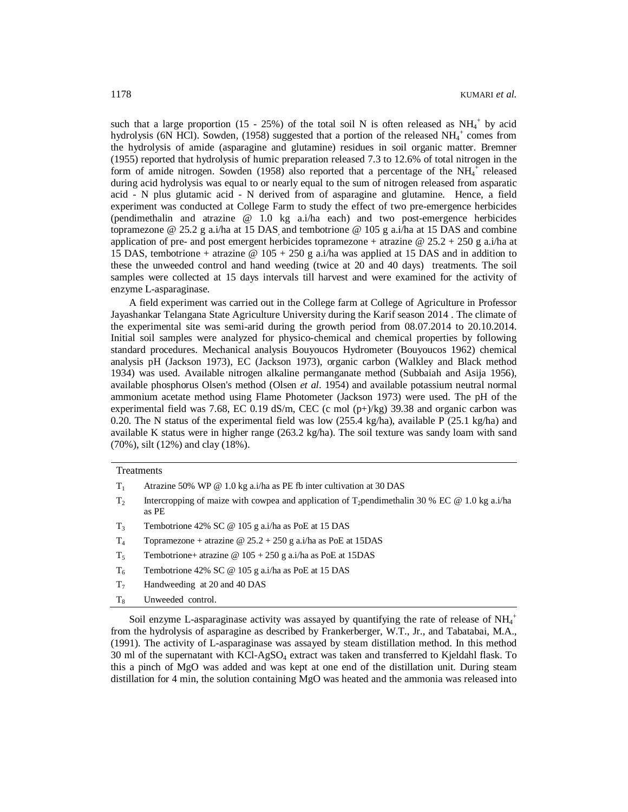such that a large proportion  $(15 - 25%)$  of the total soil N is often released as NH<sub>4</sub><sup>+</sup> by acid hydrolysis (6N HCl). Sowden, (1958) suggested that a portion of the released  $NH_4^+$  comes from the hydrolysis of amide (asparagine and glutamine) residues in soil organic matter. Bremner (1955) reported that hydrolysis of humic preparation released 7.3 to 12.6% of total nitrogen in the form of amide nitrogen. Sowden (1958) also reported that a percentage of the  $NH_4^+$  released during acid hydrolysis was equal to or nearly equal to the sum of nitrogen released from asparatic acid - N plus glutamic acid - N derived from of asparagine and glutamine. Hence, a field experiment was conducted at College Farm to study the effect of two pre-emergence herbicides (pendimethalin and atrazine @ 1.0 kg a.i/ha each) and two post-emergence herbicides topramezone @ 25.2 g a.i/ha at 15 DAS and tembotrione @ 105 g a.i/ha at 15 DAS and combine application of pre- and post emergent herbicides topramezone + atrazine  $@$  25.2 + 250 g a.i/ha at 15 DAS, tembotrione + atrazine  $\omega$  105 + 250 g a.i/ha was applied at 15 DAS and in addition to these the unweeded control and hand weeding (twice at 20 and 40 days) treatments. The soil samples were collected at 15 days intervals till harvest and were examined for the activity of enzyme L-asparaginase.

A field experiment was carried out in the College farm at College of Agriculture in Professor Jayashankar Telangana State Agriculture University during the Karif season 2014 . The climate of the experimental site was semi-arid during the growth period from 08.07.2014 to 20.10.2014. Initial soil samples were analyzed for physico-chemical and chemical properties by following standard procedures. Mechanical analysis Bouyoucos Hydrometer (Bouyoucos 1962) chemical analysis pH (Jackson 1973), EC (Jackson 1973), organic carbon (Walkley and Black method 1934) was used. Available nitrogen alkaline permanganate method (Subbaiah and Asija 1956), available phosphorus Olsen's method (Olsen *et al*. 1954) and available potassium neutral normal ammonium acetate method using Flame Photometer (Jackson 1973) were used. The pH of the experimental field was 7.68, EC 0.19 dS/m, CEC (c mol  $(p+)/kg$ ) 39.38 and organic carbon was 0.20. The N status of the experimental field was low (255.4 kg/ha), available P (25.1 kg/ha) and available K status were in higher range  $(263.2 \text{ kg/ha})$ . The soil texture was sandy loam with sand (70%), silt (12%) and clay (18%).

| Treatments     |                                                                                                                     |  |  |
|----------------|---------------------------------------------------------------------------------------------------------------------|--|--|
| $T_{1}$        | Atrazine 50% WP $@ 1.0 \text{ kg}$ a.i/ha as PE fb inter cultivation at 30 DAS                                      |  |  |
| T <sub>2</sub> | Intercropping of maize with cowpea and application of T <sub>2</sub> pendimethalin 30 % EC @ 1.0 kg a.i/ha<br>as PE |  |  |
| $T_{3}$        | Tembotrione 42% SC $\omega$ 105 g a.i/ha as PoE at 15 DAS                                                           |  |  |
| $T_{4}$        | Topramezone + atrazine $\omega$ 25.2 + 250 g a.i/ha as PoE at 15DAS                                                 |  |  |
| $T_{5}$        | Tembotrione+ atrazine @ $105 + 250$ g a.i/ha as PoE at 15DAS                                                        |  |  |
| $T_6$          | Tembotrione 42% SC $\omega$ 105 g a.i/ha as PoE at 15 DAS                                                           |  |  |

- T<sup>7</sup> Handweeding at 20 and 40 DAS
- T<sub>8</sub> Unweeded control.

Soil enzyme L-asparaginase activity was assayed by quantifying the rate of release of  $NH_4^+$ from the hydrolysis of asparagine as described by Frankerberger, W.T., Jr., and Tabatabai, M.A., (1991). The activity of L-asparaginase was assayed by steam distillation method. In this method 30 ml of the supernatant with KCl-AgSO<sub>4</sub> extract was taken and transferred to Kjeldahl flask. To this a pinch of MgO was added and was kept at one end of the distillation unit. During steam distillation for 4 min, the solution containing MgO was heated and the ammonia was released into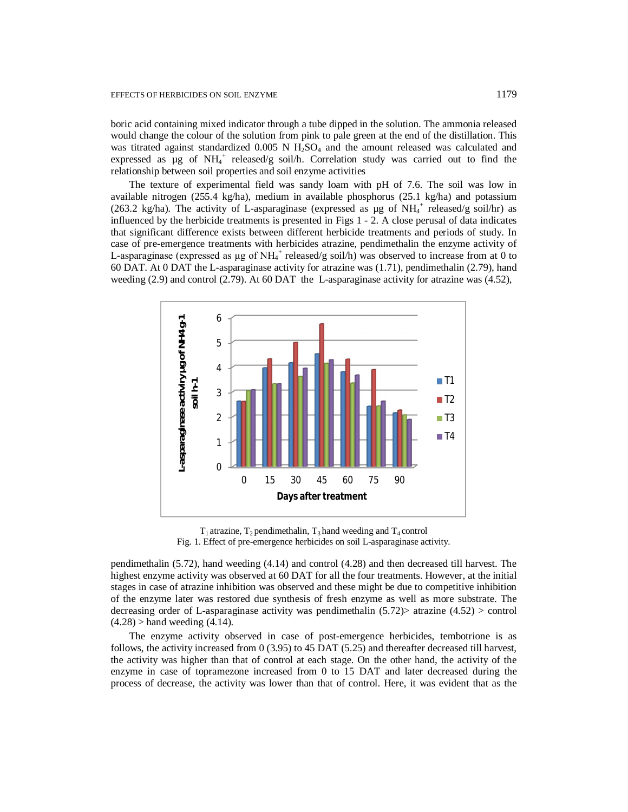boric acid containing mixed indicator through a tube dipped in the solution. The ammonia released would change the colour of the solution from pink to pale green at the end of the distillation. This was titrated against standardized  $0.005$  N  $H<sub>2</sub>SO<sub>4</sub>$  and the amount released was calculated and expressed as  $\mu$ g of NH<sub>4</sub><sup>+</sup> released/g soil/h. Correlation study was carried out to find the relationship between soil properties and soil enzyme activities

The texture of experimental field was sandy loam with pH of 7.6. The soil was low in available nitrogen (255.4 kg/ha), medium in available phosphorus (25.1 kg/ha) and potassium (263.2 kg/ha). The activity of L-asparaginase (expressed as  $\mu$ g of NH<sub>4</sub><sup>+</sup> released/g soil/hr) as influenced by the herbicide treatments is presented in Figs 1 - 2. A close perusal of data indicates that significant difference exists between different herbicide treatments and periods of study. In case of pre-emergence treatments with herbicides atrazine, pendimethalin the enzyme activity of L-asparaginase (expressed as  $\mu$ g of NH<sub>4</sub><sup>+</sup> released/g soil/h) was observed to increase from at 0 to 60 DAT. At 0 DAT the L-asparaginase activity for atrazine was (1.71), pendimethalin (2.79), hand weeding (2.9) and control (2.79). At 60 DAT the L-asparaginase activity for atrazine was (4.52),



 $T_1$  atrazine,  $T_2$  pendimethalin,  $T_3$  hand weeding and  $T_4$  control Fig. 1. Effect of pre-emergence herbicides on soil L-asparaginase activity.

pendimethalin (5.72), hand weeding (4.14) and control (4.28) and then decreased till harvest. The highest enzyme activity was observed at 60 DAT for all the four treatments. However, at the initial stages in case of atrazine inhibition was observed and these might be due to competitive inhibition of the enzyme later was restored due synthesis of fresh enzyme as well as more substrate. The decreasing order of L-asparaginase activity was pendimethalin  $(5.72)$  atrazine  $(4.52)$  > control  $(4.28)$  > hand weeding  $(4.14)$ .

The enzyme activity observed in case of post-emergence herbicides, tembotrione is as follows, the activity increased from 0 (3.95) to 45 DAT (5.25) and thereafter decreased till harvest, the activity was higher than that of control at each stage. On the other hand, the activity of the enzyme in case of topramezone increased from 0 to 15 DAT and later decreased during the process of decrease, the activity was lower than that of control. Here, it was evident that as the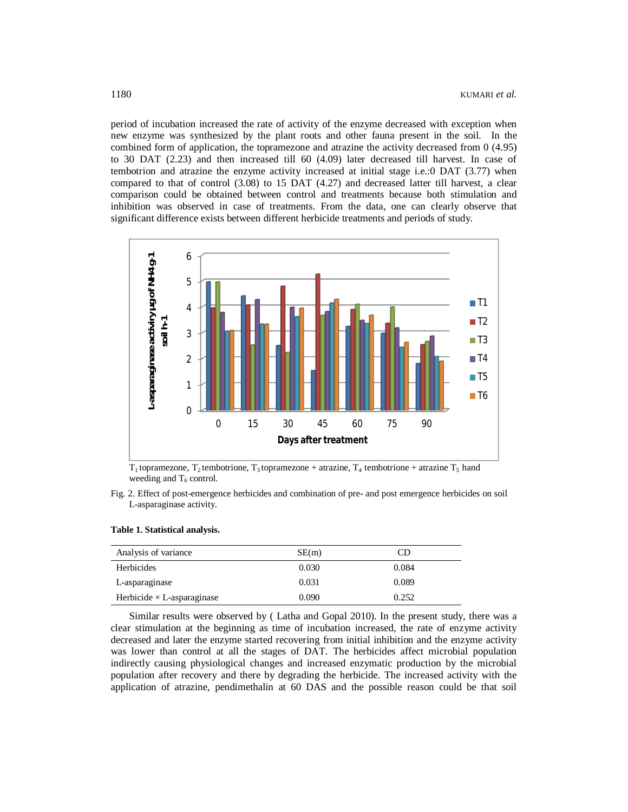period of incubation increased the rate of activity of the enzyme decreased with exception when new enzyme was synthesized by the plant roots and other fauna present in the soil. In the combined form of application, the topramezone and atrazine the activity decreased from 0 (4.95) to 30 DAT (2.23) and then increased till 60 (4.09) later decreased till harvest. In case of tembotrion and atrazine the enzyme activity increased at initial stage i.e.:0 DAT (3.77) when compared to that of control (3.08) to 15 DAT (4.27) and decreased latter till harvest, a clear comparison could be obtained between control and treatments because both stimulation and inhibition was observed in case of treatments. From the data, one can clearly observe that significant difference exists between different herbicide treatments and periods of study.



 $T_1$  topramezone,  $T_2$  tembotrione,  $T_3$  topramezone + atrazine,  $T_4$  tembotrione + atrazine  $T_5$  hand weeding and  $T_6$  control.

Fig. 2. Effect of post-emergence herbicides and combination of pre- and post emergence herbicides on soil L-asparaginase activity.

### **Table 1. Statistical analysis.**

| Analysis of variance              | SE(m) | CD    |
|-----------------------------------|-------|-------|
| Herbicides                        | 0.030 | 0.084 |
| L-asparaginase                    | 0.031 | 0.089 |
| Herbicide $\times$ L-asparaginase | 0.090 | 0.252 |

Similar results were observed by ( Latha and Gopal 2010). In the present study, there was a clear stimulation at the beginning as time of incubation increased, the rate of enzyme activity decreased and later the enzyme started recovering from initial inhibition and the enzyme activity was lower than control at all the stages of DAT. The herbicides affect microbial population indirectly causing physiological changes and increased enzymatic production by the microbial population after recovery and there by degrading the herbicide. The increased activity with the application of atrazine, pendimethalin at 60 DAS and the possible reason could be that soil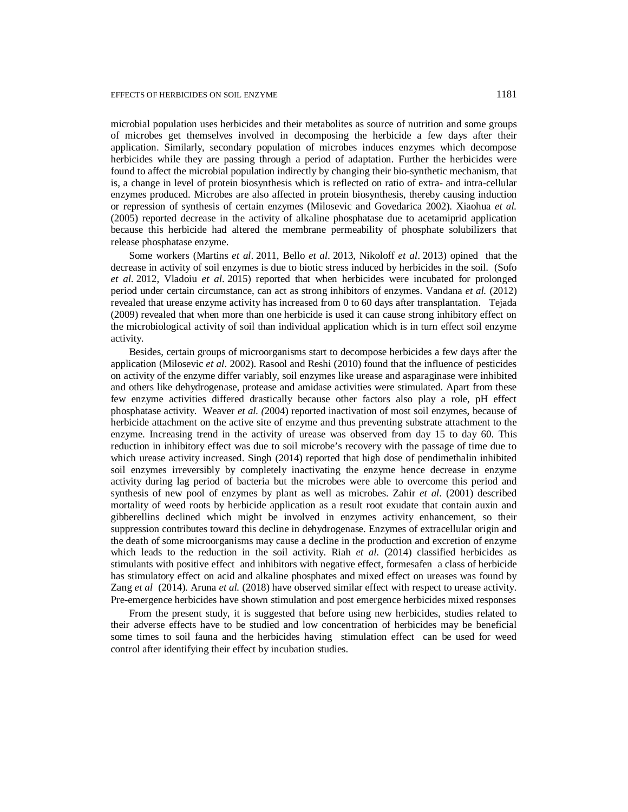microbial population uses herbicides and their metabolites as source of nutrition and some groups of microbes get themselves involved in decomposing the herbicide a few days after their application. Similarly, secondary population of microbes induces enzymes which decompose herbicides while they are passing through a period of adaptation. Further the herbicides were found to affect the microbial population indirectly by changing their bio-synthetic mechanism, that is, a change in level of protein biosynthesis which is reflected on ratio of extra- and intra-cellular enzymes produced. Microbes are also affected in protein biosynthesis, thereby causing induction or repression of synthesis of certain enzymes (Milosevic and Govedarica 2002). Xiaohua *et al.* (2005) reported decrease in the activity of alkaline phosphatase due to acetamiprid application because this herbicide had altered the membrane permeability of phosphate solubilizers that release phosphatase enzyme.

Some workers (Martins *et al*. 2011, Bello *et al*. 2013, Nikoloff *et al*. 2013) opined that the decrease in activity of soil enzymes is due to biotic stress induced by herbicides in the soil. (Sofo *et al*. 2012, Vladoiu *et al*. 2015) reported that when herbicides were incubated for prolonged period under certain circumstance, can act as strong inhibitors of enzymes. Vandana *et al.* (2012) revealed that urease enzyme activity has increased from 0 to 60 days after transplantation. Tejada (2009) revealed that when more than one herbicide is used it can cause strong inhibitory effect on the microbiological activity of soil than individual application which is in turn effect soil enzyme activity.

Besides, certain groups of microorganisms start to decompose herbicides a few days after the application (Milosevic *et al*. 2002). Rasool and Reshi (2010) found that the influence of pesticides on activity of the enzyme differ variably, soil enzymes like urease and asparaginase were inhibited and others like dehydrogenase, protease and amidase activities were stimulated. Apart from these few enzyme activities differed drastically because other factors also play a role, pH effect phosphatase activity. Weaver *et al. (*2004) reported inactivation of most soil enzymes, because of herbicide attachment on the active site of enzyme and thus preventing substrate attachment to the enzyme. Increasing trend in the activity of urease was observed from day 15 to day 60. This reduction in inhibitory effect was due to soil microbe's recovery with the passage of time due to which urease activity increased. Singh (2014) reported that high dose of pendimethalin inhibited soil enzymes irreversibly by completely inactivating the enzyme hence decrease in enzyme activity during lag period of bacteria but the microbes were able to overcome this period and synthesis of new pool of enzymes by plant as well as microbes. Zahir *et al*. (2001) described mortality of weed roots by herbicide application as a result root exudate that contain auxin and gibberellins declined which might be involved in enzymes activity enhancement, so their suppression contributes toward this decline in dehydrogenase. Enzymes of extracellular origin and the death of some microorganisms may cause a decline in the production and excretion of enzyme which leads to the reduction in the soil activity. Riah *et al.* (2014) classified herbicides as stimulants with positive effect and inhibitors with negative effect, formesafen a class of herbicide has stimulatory effect on acid and alkaline phosphates and mixed effect on ureases was found by Zang *et al* (2014). Aruna *et al.* (2018) have observed similar effect with respect to urease activity. Pre-emergence herbicides have shown stimulation and post emergence herbicides mixed responses

From the present study, it is suggested that before using new herbicides, studies related to their adverse effects have to be studied and low concentration of herbicides may be beneficial some times to soil fauna and the herbicides having stimulation effect can be used for weed control after identifying their effect by incubation studies.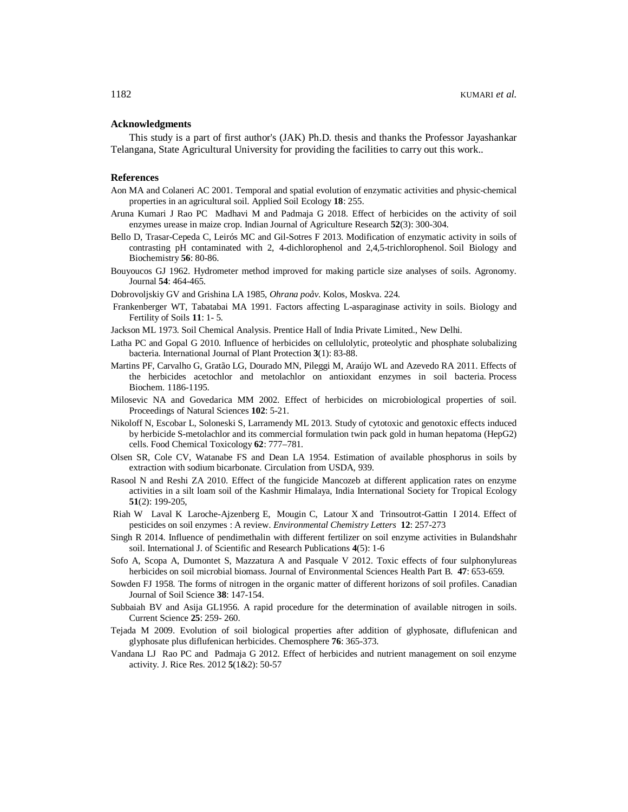## **Acknowledgments**

This study is a part of first author's (JAK) Ph.D. thesis and thanks the Professor Jayashankar Telangana, State Agricultural University for providing the facilities to carry out this work..

#### **References**

- Aon MA and Colaneri AC 2001. Temporal and spatial evolution of enzymatic activities and physic-chemical properties in an agricultural soil. Applied Soil Ecology **18**: 255.
- Aruna Kumari J Rao PC Madhavi M and Padmaja G 2018. Effect of herbicides on the activity of soil enzymes urease in maize crop. Indian Journal of Agriculture Research **52**(3): 300-304.
- Bello D, Trasar-Cepeda C, Leirós MC and Gil-Sotres F 2013. Modification of enzymatic activity in soils of contrasting pH contaminated with 2, 4-dichlorophenol and 2,4,5-trichlorophenol. Soil Biology and Biochemistry **56**: 80-86.
- Bouyoucos GJ 1962. Hydrometer method improved for making particle size analyses of soils. Agronomy. Journal **54**: 464-465.
- Dobrovoljskiy GV and Grishina LA 1985, *Ohrana poåv*. Kolos, Moskva. 224.
- Frankenberger WT, Tabatabai MA 1991. Factors affecting L-asparaginase activity in soils. Biology and Fertility of Soils **11**: 1- 5.
- Jackson ML 1973. Soil Chemical Analysis. Prentice Hall of India Private Limited., New Delhi.
- Latha PC and Gopal G 2010. Influence of herbicides on cellulolytic, proteolytic and phosphate solubalizing bacteria. International Journal of Plant Protection **3**(1): 83-88.
- Martins PF, Carvalho G, Gratão LG, Dourado MN, Pileggi M, Araújo WL and Azevedo RA 2011. Effects of the herbicides acetochlor and metolachlor on antioxidant enzymes in soil bacteria. Process Biochem. 1186-1195.
- Milosevic NA and Govedarica MM 2002. Effect of herbicides on microbiological properties of soil. Proceedings of Natural Sciences **102**: 5-21.
- Nikoloff N, Escobar L, Soloneski S, Larramendy ML 2013. Study of cytotoxic and genotoxic effects induced by herbicide S-metolachlor and its commercial formulation twin pack gold in human hepatoma (HepG2) cells. Food Chemical Toxicology **62**: 777–781.
- Olsen SR, Cole CV, Watanabe FS and Dean LA 1954. Estimation of available phosphorus in soils by extraction with sodium bicarbonate. Circulation from USDA, 939.
- Rasool N and Reshi ZA 2010. Effect of the fungicide Mancozeb at different application rates on enzyme activities in a silt loam soil of the Kashmir Himalaya, India International Society for Tropical Ecology **51**(2): 199-205,
- Riah W Laval K Laroche-Ajzenberg E, Mougin C, Latour X and Trinsoutrot-Gattin I 2014. Effect of pesticides on soil enzymes : A review. *Environmental Chemistry Letters* **12**: 257-273
- Singh R 2014. Influence of pendimethalin with different fertilizer on soil enzyme activities in Bulandshahr soil. International J. of Scientific and Research Publications **4**(5): 1-6
- Sofo A, Scopa A, Dumontet S, Mazzatura A and Pasquale V 2012. Toxic effects of four sulphonylureas herbicides on soil microbial biomass. Journal of Environmental Sciences Health Part B. **47**: 653-659.
- Sowden FJ 1958. The forms of nitrogen in the organic matter of different horizons of soil profiles. Canadian Journal of Soil Science **38**: 147-154.
- Subbaiah BV and Asija GL1956. A rapid procedure for the determination of available nitrogen in soils. Current Science **25**: 259- 260.
- Tejada M 2009. Evolution of soil biological properties after addition of glyphosate, diflufenican and glyphosate plus diflufenican herbicides. Chemosphere **76**: 365-373.
- Vandana LJ Rao PC and Padmaja G 2012. Effect of herbicides and nutrient management on soil enzyme activity. J. Rice Res. 2012 **5**(1&2): 50-57